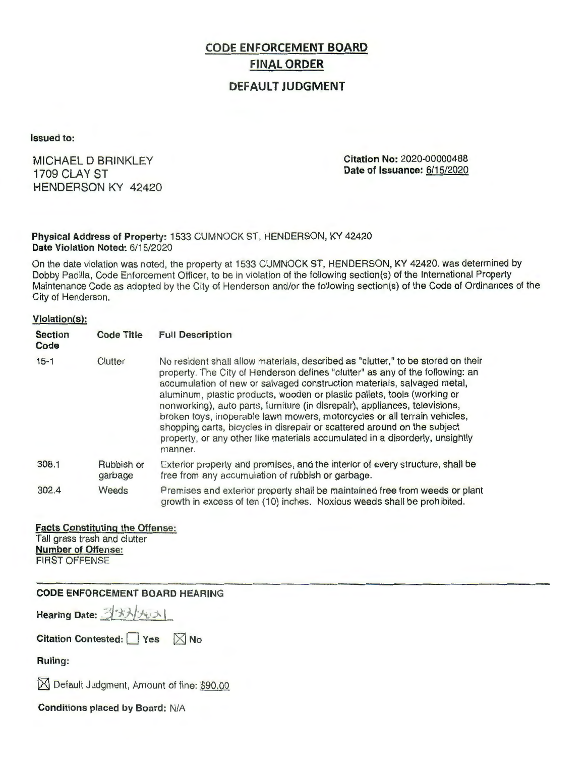# **CODE ENFORCEMENT BOARD FINAL ORDER**

# **DEFAULT JUDGMENT**

Issued to:

MICHAEL D BRINKLEY 1709 CLAY ST HENDERSON KY 42420 Citation No: 2020-00000488 Date of Issuance: 6/15/2020

## Physical Address of Property: 1533 CUMNOCK ST, HENDERSON, KY 42420 Date Violation Noted: 6/15/2020

On the date violation was noted, the property at 1533 CUMNOCK ST, HENDERSON, KY 42420. was determined by Dobby Padilla, Code Enforcement Officer, to be in violation of the following section(s) of the International Property Maintenance Code as adopted by the City of Henderson and/or the following section(s) of the Code of Ordinances of the City of Henderson.

### Violation(s):

| <b>Section</b><br>Code | <b>Code Title</b>     | <b>Full Description</b>                                                                                                                                                                                                                                                                                                                                                                                                                                                                                                                                                                                                                                     |
|------------------------|-----------------------|-------------------------------------------------------------------------------------------------------------------------------------------------------------------------------------------------------------------------------------------------------------------------------------------------------------------------------------------------------------------------------------------------------------------------------------------------------------------------------------------------------------------------------------------------------------------------------------------------------------------------------------------------------------|
| $15 - 1$               | Clutter               | No resident shall allow materials, described as "clutter," to be stored on their<br>property. The City of Henderson defines "clutter" as any of the following: an<br>accumulation of new or salvaged construction materials, salvaged metal,<br>aluminum, plastic products, wooden or plastic pallets, tools (working or<br>nonworking), auto parts, furniture (in disrepair), appliances, televisions,<br>broken toys, inoperable lawn mowers, motorcycles or all terrain vehicles,<br>shopping carts, bicycles in disrepair or scattered around on the subject<br>property, or any other like materials accumulated in a disorderly, unsightly<br>manner. |
| 308.1                  | Rubbish or<br>garbage | Exterior property and premises, and the interior of every structure, shall be<br>free from any accumulation of rubbish or garbage.                                                                                                                                                                                                                                                                                                                                                                                                                                                                                                                          |
| 302.4                  | Weeds                 | Premises and exterior property shall be maintained free from weeds or plant<br>growth in excess of ten (10) inches. Noxious weeds shall be prohibited.                                                                                                                                                                                                                                                                                                                                                                                                                                                                                                      |

#### Facts Constituting the Offense: Tall grass trash and clutter Number of Offense: FIRST OFFENSE

CODE ENFORCEMENT BOARD HEARING

Hearing Date: 331

Citation Contested: PYes Alo

Ruling:

[8J Default Judgment, Amount of fine: \$90.00

Conditions placed by Board: N/A